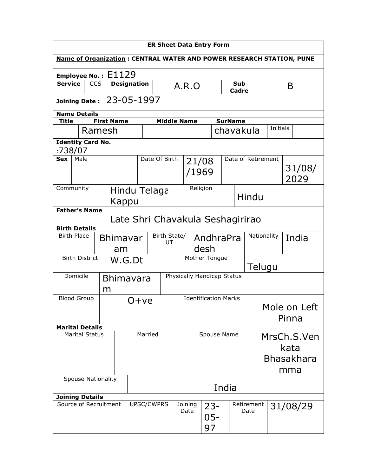| <b>ER Sheet Data Entry Form</b>                                             |                                                                                       |                           |            |                        |                    |               |                       |              |                             |  |                    |                   |             |              |
|-----------------------------------------------------------------------------|---------------------------------------------------------------------------------------|---------------------------|------------|------------------------|--------------------|---------------|-----------------------|--------------|-----------------------------|--|--------------------|-------------------|-------------|--------------|
| <b>Name of Organization: CENTRAL WATER AND POWER RESEARCH STATION, PUNE</b> |                                                                                       |                           |            |                        |                    |               |                       |              |                             |  |                    |                   |             |              |
|                                                                             |                                                                                       |                           |            | Employee No. : $E1129$ |                    |               |                       |              |                             |  |                    |                   |             |              |
| <b>Service</b>                                                              |                                                                                       |                           | <b>CCS</b> |                        | <b>Designation</b> |               |                       | Sub<br>A.R.O |                             |  | Cadre              |                   | B           |              |
| <b>Joining Date:</b>                                                        |                                                                                       |                           |            |                        |                    | 23-05-1997    |                       |              |                             |  |                    |                   |             |              |
|                                                                             |                                                                                       | <b>Name Details</b>       |            |                        |                    |               |                       |              |                             |  |                    |                   |             |              |
|                                                                             | <b>First Name</b><br><b>Middle Name</b><br><b>SurName</b><br><b>Title</b><br>Initials |                           |            |                        |                    |               |                       |              |                             |  |                    |                   |             |              |
|                                                                             |                                                                                       | Ramesh                    |            |                        |                    |               |                       |              |                             |  | chavakula          |                   |             |              |
| <b>Identity Card No.</b>                                                    |                                                                                       |                           |            |                        |                    |               |                       |              |                             |  |                    |                   |             |              |
| :738/07<br><b>Sex</b>                                                       |                                                                                       | Male                      |            |                        |                    | Date Of Birth |                       |              |                             |  | Date of Retirement |                   |             |              |
|                                                                             |                                                                                       |                           |            |                        |                    |               |                       |              | 21/08                       |  |                    |                   |             | 31/08/       |
|                                                                             |                                                                                       |                           |            |                        |                    |               |                       | /1969        |                             |  |                    |                   |             | 2029         |
| Community                                                                   |                                                                                       |                           |            |                        |                    |               |                       |              | Religion                    |  |                    |                   |             |              |
|                                                                             |                                                                                       |                           |            |                        |                    |               | Hindu Telaga<br>Hindu |              |                             |  |                    |                   |             |              |
| Kappu<br><b>Father's Name</b>                                               |                                                                                       |                           |            |                        |                    |               |                       |              |                             |  |                    |                   |             |              |
|                                                                             | Late Shri Chavakula Seshagirirao                                                      |                           |            |                        |                    |               |                       |              |                             |  |                    |                   |             |              |
| <b>Birth Place</b>                                                          |                                                                                       | <b>Birth Details</b>      |            |                        |                    |               | Birth State/          |              |                             |  |                    |                   | Nationality |              |
|                                                                             |                                                                                       |                           |            | Bhimavar               |                    |               | UT                    | AndhraPra    |                             |  |                    |                   | India       |              |
|                                                                             |                                                                                       |                           |            | am                     |                    |               |                       | desh         |                             |  |                    |                   |             |              |
|                                                                             |                                                                                       | <b>Birth District</b>     |            |                        | W.G.Dt             |               | Mother Tongue         |              |                             |  | Telugu             |                   |             |              |
|                                                                             |                                                                                       | Domicile                  |            | <b>Bhimavara</b>       |                    |               |                       |              | Physically Handicap Status  |  |                    |                   |             |              |
|                                                                             |                                                                                       |                           |            | m                      |                    |               |                       |              |                             |  |                    |                   |             |              |
|                                                                             |                                                                                       | <b>Blood Group</b>        |            |                        | O+ve               |               |                       |              | <b>Identification Marks</b> |  |                    |                   |             |              |
|                                                                             |                                                                                       |                           |            |                        |                    |               |                       |              |                             |  |                    |                   |             | Mole on Left |
|                                                                             |                                                                                       |                           |            |                        |                    |               |                       |              |                             |  |                    |                   |             | Pinna        |
| <b>Marital Details</b>                                                      |                                                                                       |                           |            |                        |                    |               |                       |              |                             |  |                    |                   |             |              |
|                                                                             |                                                                                       | <b>Marital Status</b>     |            |                        |                    | Married       |                       |              | Spouse Name                 |  |                    |                   |             | MrsCh.S.Ven  |
|                                                                             |                                                                                       |                           |            |                        |                    |               |                       |              |                             |  |                    |                   | kata        |              |
|                                                                             |                                                                                       |                           |            |                        |                    |               |                       |              |                             |  |                    | <b>Bhasakhara</b> |             |              |
|                                                                             |                                                                                       |                           |            |                        |                    |               |                       |              |                             |  |                    |                   | mma         |              |
|                                                                             |                                                                                       | <b>Spouse Nationality</b> |            |                        |                    |               |                       |              |                             |  |                    |                   |             |              |
| India                                                                       |                                                                                       |                           |            |                        |                    |               |                       |              |                             |  |                    |                   |             |              |
| <b>Joining Details</b><br>Source of Recruitment                             |                                                                                       |                           |            |                        | UPSC/CWPRS         |               | Joining               |              | Retirement                  |  |                    |                   |             |              |
|                                                                             |                                                                                       |                           |            |                        |                    |               |                       | Date         | $23-$                       |  | Date               |                   |             | 31/08/29     |
|                                                                             |                                                                                       |                           |            |                        |                    |               |                       |              | $05 -$                      |  |                    |                   |             |              |
|                                                                             |                                                                                       |                           |            |                        |                    |               |                       |              | 97                          |  |                    |                   |             |              |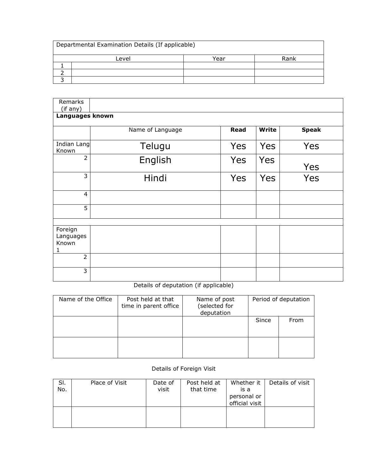| Departmental Examination Details (If applicable) |       |      |      |  |  |  |  |  |
|--------------------------------------------------|-------|------|------|--|--|--|--|--|
|                                                  | Level | Year | Rank |  |  |  |  |  |
|                                                  |       |      |      |  |  |  |  |  |
|                                                  |       |      |      |  |  |  |  |  |
|                                                  |       |      |      |  |  |  |  |  |

| Remarks<br>(if any)                |                  |             |       |              |  |  |  |  |  |  |  |  |
|------------------------------------|------------------|-------------|-------|--------------|--|--|--|--|--|--|--|--|
|                                    | Languages known  |             |       |              |  |  |  |  |  |  |  |  |
|                                    | Name of Language | <b>Read</b> | Write | <b>Speak</b> |  |  |  |  |  |  |  |  |
| Indian Lang<br>Known               | Telugu           | Yes         | Yes   | Yes          |  |  |  |  |  |  |  |  |
| $\overline{2}$                     | English          | Yes         | Yes   | Yes          |  |  |  |  |  |  |  |  |
| $\overline{3}$                     | Hindi            | Yes         | Yes   | Yes          |  |  |  |  |  |  |  |  |
| $\overline{4}$                     |                  |             |       |              |  |  |  |  |  |  |  |  |
| $\overline{5}$                     |                  |             |       |              |  |  |  |  |  |  |  |  |
|                                    |                  |             |       |              |  |  |  |  |  |  |  |  |
| Foreign<br>Languages<br>Known<br>1 |                  |             |       |              |  |  |  |  |  |  |  |  |
| $\overline{2}$                     |                  |             |       |              |  |  |  |  |  |  |  |  |
| $\overline{3}$                     |                  |             |       |              |  |  |  |  |  |  |  |  |

## Details of deputation (if applicable)

| Name of the Office | Post held at that<br>time in parent office | Name of post<br>(selected for<br>deputation | Period of deputation |      |  |
|--------------------|--------------------------------------------|---------------------------------------------|----------------------|------|--|
|                    |                                            |                                             | Since                | From |  |
|                    |                                            |                                             |                      |      |  |

## Details of Foreign Visit

| SI.<br>No. | Place of Visit | Date of<br>visit | Post held at<br>that time | Whether it<br>is a<br>personal or<br>official visit | Details of visit |
|------------|----------------|------------------|---------------------------|-----------------------------------------------------|------------------|
|            |                |                  |                           |                                                     |                  |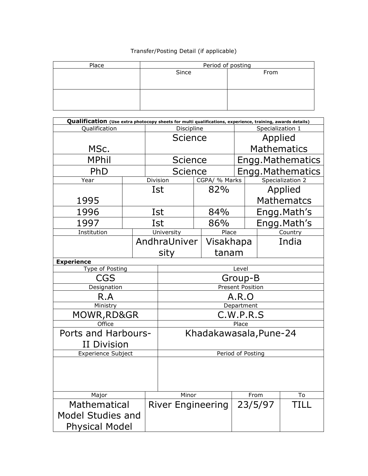## Transfer/Posting Detail (if applicable)

| Place | Period of posting |      |  |  |  |  |
|-------|-------------------|------|--|--|--|--|
|       | Since             | From |  |  |  |  |
|       |                   |      |  |  |  |  |
|       |                   |      |  |  |  |  |
|       |                   |      |  |  |  |  |
|       |                   |      |  |  |  |  |
|       |                   |      |  |  |  |  |

| Qualification (Use extra photocopy sheets for multi qualifications, experience, training, awards details) |  |                                |                          |  |               |  |                    |                   |  |
|-----------------------------------------------------------------------------------------------------------|--|--------------------------------|--------------------------|--|---------------|--|--------------------|-------------------|--|
| Qualification                                                                                             |  | Specialization 1<br>Discipline |                          |  |               |  |                    |                   |  |
|                                                                                                           |  |                                | Science                  |  |               |  | Applied            |                   |  |
| MSc.                                                                                                      |  |                                |                          |  |               |  | <b>Mathematics</b> |                   |  |
| <b>MPhil</b>                                                                                              |  | <b>Science</b>                 |                          |  |               |  | Engg. Mathematics  |                   |  |
| PhD                                                                                                       |  |                                | <b>Science</b>           |  |               |  |                    | Engg. Mathematics |  |
| Year                                                                                                      |  | Division                       |                          |  | CGPA/ % Marks |  |                    | Specialization 2  |  |
|                                                                                                           |  |                                | Ist                      |  | 82%           |  |                    | Applied           |  |
| 1995                                                                                                      |  |                                |                          |  |               |  |                    | <b>Mathematcs</b> |  |
| 1996                                                                                                      |  |                                | Ist                      |  | 84%           |  |                    | Engg.Math's       |  |
| 1997                                                                                                      |  |                                | Ist                      |  | 86%           |  |                    | Engg.Math's       |  |
| Institution                                                                                               |  |                                | University               |  | Place         |  |                    | Country           |  |
|                                                                                                           |  |                                | AndhraUniver             |  | Visakhapa     |  |                    | India             |  |
|                                                                                                           |  |                                | sity                     |  | tanam         |  |                    |                   |  |
| <b>Experience</b>                                                                                         |  |                                |                          |  |               |  |                    |                   |  |
| <b>Type of Posting</b>                                                                                    |  |                                | Level                    |  |               |  |                    |                   |  |
| CGS                                                                                                       |  |                                | Group-B                  |  |               |  |                    |                   |  |
| Designation                                                                                               |  |                                | Present Position         |  |               |  |                    |                   |  |
| R.A                                                                                                       |  |                                | A.R.O                    |  |               |  |                    |                   |  |
| Ministry                                                                                                  |  |                                | Department               |  |               |  |                    |                   |  |
| MOWR, RD&GR                                                                                               |  |                                | C.W.P.R.S                |  |               |  |                    |                   |  |
| Office                                                                                                    |  |                                | Place                    |  |               |  |                    |                   |  |
| Ports and Harbours-                                                                                       |  |                                | Khadakawasala, Pune-24   |  |               |  |                    |                   |  |
| II Division                                                                                               |  |                                |                          |  |               |  |                    |                   |  |
| <b>Experience Subject</b>                                                                                 |  |                                | Period of Posting        |  |               |  |                    |                   |  |
|                                                                                                           |  |                                |                          |  |               |  |                    |                   |  |
| Major                                                                                                     |  |                                | Minor                    |  |               |  | From               | To                |  |
| Mathematical                                                                                              |  |                                | <b>River Engineering</b> |  |               |  | 23/5/97            | TILL              |  |
| <b>Model Studies and</b>                                                                                  |  |                                |                          |  |               |  |                    |                   |  |
| <b>Physical Model</b>                                                                                     |  |                                |                          |  |               |  |                    |                   |  |